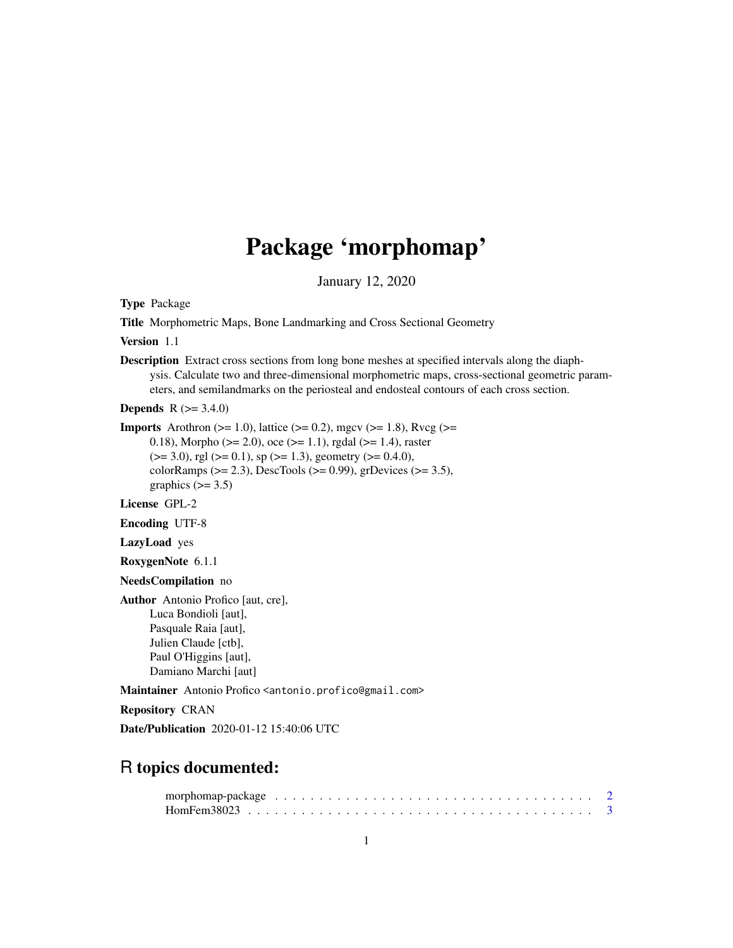# Package 'morphomap'

January 12, 2020

Type Package

Title Morphometric Maps, Bone Landmarking and Cross Sectional Geometry

Version 1.1

Description Extract cross sections from long bone meshes at specified intervals along the diaphysis. Calculate two and three-dimensional morphometric maps, cross-sectional geometric parameters, and semilandmarks on the periosteal and endosteal contours of each cross section.

**Depends** R  $(>= 3.4.0)$ 

**Imports** Arothron ( $>= 1.0$ ), lattice ( $>= 0.2$ ), mgcv ( $>= 1.8$ ), Rvcg ( $>= 1.8$ )

0.18), Morpho ( $>= 2.0$ ), oce ( $>= 1.1$ ), rgdal ( $>= 1.4$ ), raster  $(>= 3.0)$ , rgl  $(>= 0.1)$ , sp  $(>= 1.3)$ , geometry  $(>= 0.4.0)$ , colorRamps ( $>= 2.3$ ), DescTools ( $>= 0.99$ ), grDevices ( $>= 3.5$ ), graphics  $(>= 3.5)$ 

License GPL-2

Encoding UTF-8

LazyLoad yes

RoxygenNote 6.1.1

NeedsCompilation no

Author Antonio Profico [aut, cre], Luca Bondioli [aut], Pasquale Raia [aut], Julien Claude [ctb], Paul O'Higgins [aut], Damiano Marchi [aut]

Maintainer Antonio Profico <antonio.profico@gmail.com>

Repository CRAN

Date/Publication 2020-01-12 15:40:06 UTC

# R topics documented: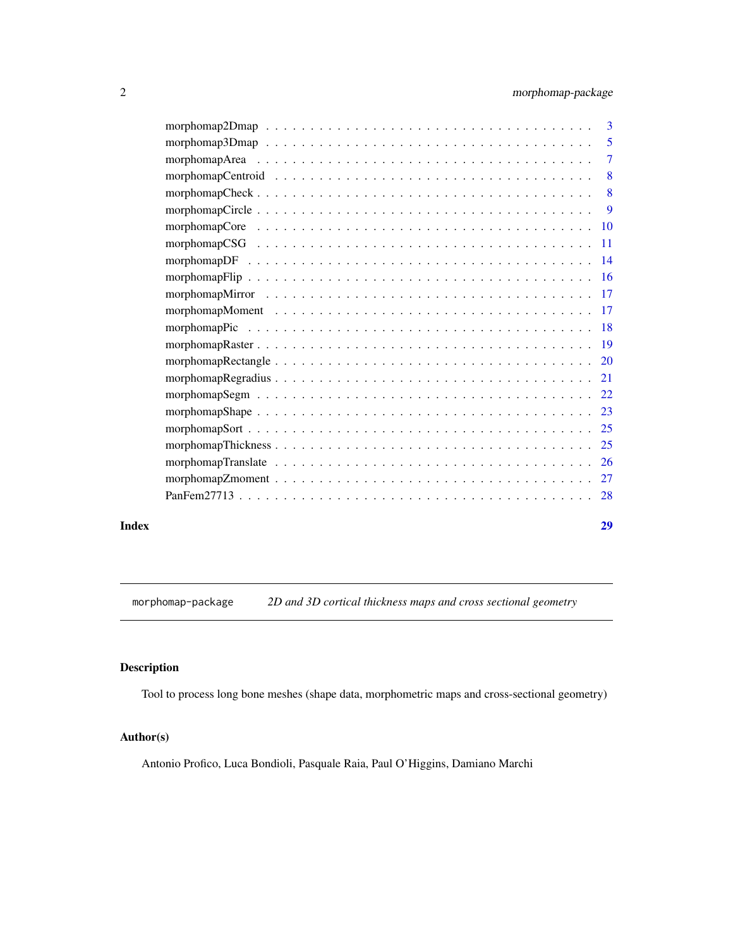<span id="page-1-0"></span>

| Index | 29 |
|-------|----|

morphomap-package *2D and 3D cortical thickness maps and cross sectional geometry*

# Description

Tool to process long bone meshes (shape data, morphometric maps and cross-sectional geometry)

# Author(s)

Antonio Profico, Luca Bondioli, Pasquale Raia, Paul O'Higgins, Damiano Marchi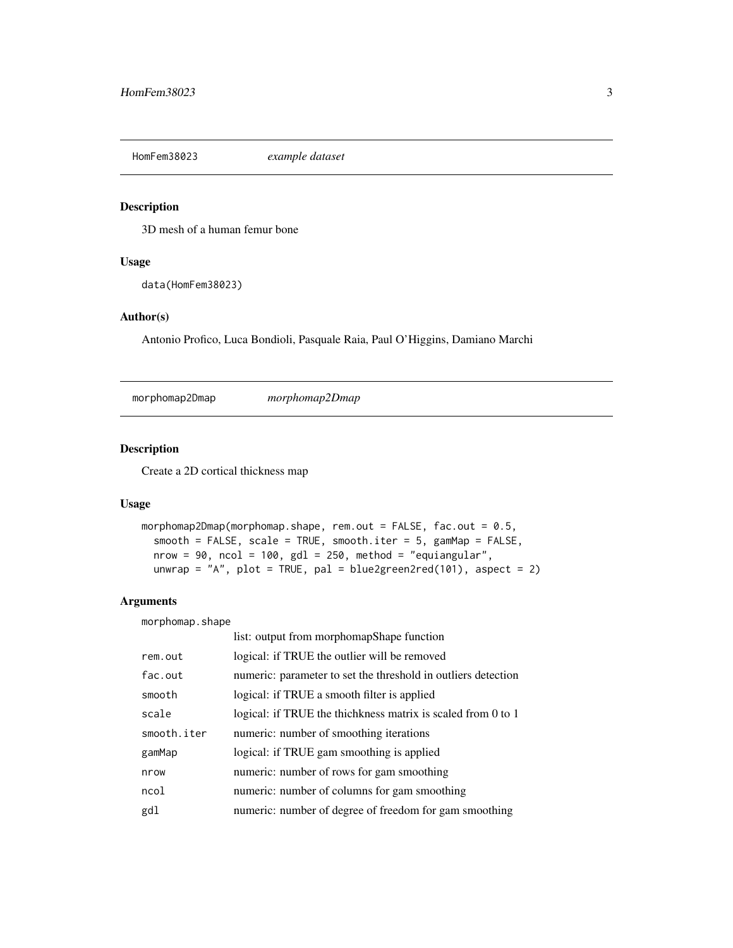<span id="page-2-0"></span>HomFem38023 *example dataset*

# Description

3D mesh of a human femur bone

# Usage

data(HomFem38023)

# Author(s)

Antonio Profico, Luca Bondioli, Pasquale Raia, Paul O'Higgins, Damiano Marchi

morphomap2Dmap *morphomap2Dmap*

# Description

Create a 2D cortical thickness map

#### Usage

```
morphomap2Dmap(morphomap.shape, rem.out = FALSE, fac.out = 0.5,
  smooth = FALSE, scale = TRUE, smooth.iter = 5, gamMap = FALSE,
 nrow = 90, ncol = 100, gd1 = 250, method = "equiangular",unwrap = "A", plot = TRUE, pal = blue2green2red(101), aspect = 2)
```
#### Arguments

morphomap.shape

|             | list: output from morphomapShape function                     |
|-------------|---------------------------------------------------------------|
| rem.out     | logical: if TRUE the outlier will be removed                  |
| fac.out     | numeric: parameter to set the threshold in outliers detection |
| smooth      | logical: if TRUE a smooth filter is applied                   |
| scale       | logical: if TRUE the thichkness matrix is scaled from 0 to 1  |
| smooth.iter | numeric: number of smoothing iterations                       |
| gamMap      | logical: if TRUE gam smoothing is applied                     |
| nrow        | numeric: number of rows for gam smoothing                     |
| ncol        | numeric: number of columns for gam smoothing                  |
| gdl         | numeric: number of degree of freedom for gam smoothing        |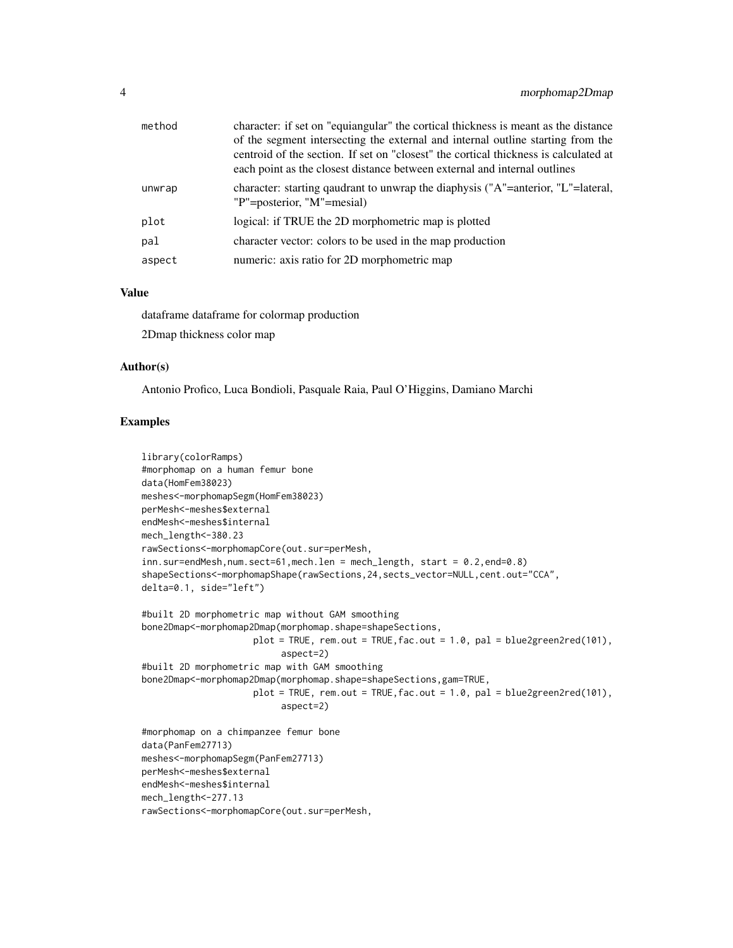| method | character: if set on "equiangular" the cortical thickness is meant as the distance<br>of the segment intersecting the external and internal outline starting from the<br>centroid of the section. If set on "closest" the cortical thickness is calculated at<br>each point as the closest distance between external and internal outlines |
|--------|--------------------------------------------------------------------------------------------------------------------------------------------------------------------------------------------------------------------------------------------------------------------------------------------------------------------------------------------|
| unwrap | character: starting quadrant to unwrap the diaphysis ("A"=anterior, "L"=lateral,<br>"P"=posterior, "M"=mesial)                                                                                                                                                                                                                             |
| plot   | logical: if TRUE the 2D morphometric map is plotted                                                                                                                                                                                                                                                                                        |
| pal    | character vector: colors to be used in the map production                                                                                                                                                                                                                                                                                  |
| aspect | numeric: axis ratio for 2D morphometric map                                                                                                                                                                                                                                                                                                |
|        |                                                                                                                                                                                                                                                                                                                                            |

#### Value

dataframe dataframe for colormap production

2Dmap thickness color map

# Author(s)

Antonio Profico, Luca Bondioli, Pasquale Raia, Paul O'Higgins, Damiano Marchi

```
library(colorRamps)
#morphomap on a human femur bone
data(HomFem38023)
meshes<-morphomapSegm(HomFem38023)
perMesh<-meshes$external
endMesh<-meshes$internal
mech_length<-380.23
rawSections<-morphomapCore(out.sur=perMesh,
inn.sur=endMesh,num.sect=61,mech.len = mech_length, start = 0.2,end=0.8)
shapeSections<-morphomapShape(rawSections,24,sects_vector=NULL,cent.out="CCA",
delta=0.1, side="left")
#built 2D morphometric map without GAM smoothing
bone2Dmap<-morphomap2Dmap(morphomap.shape=shapeSections,
                    plot = TRUE, rem.out = TRUE, fac.out = 1.0, pal = blue2green2red(101),
                          aspect=2)
#built 2D morphometric map with GAM smoothing
bone2Dmap<-morphomap2Dmap(morphomap.shape=shapeSections,gam=TRUE,
                    plot = TRUE, rem.out = TRUE,fac.out = 1.0, pal = blue2green2red(101),
                          aspect=2)
#morphomap on a chimpanzee femur bone
data(PanFem27713)
meshes<-morphomapSegm(PanFem27713)
perMesh<-meshes$external
endMesh<-meshes$internal
mech_length<-277.13
rawSections<-morphomapCore(out.sur=perMesh,
```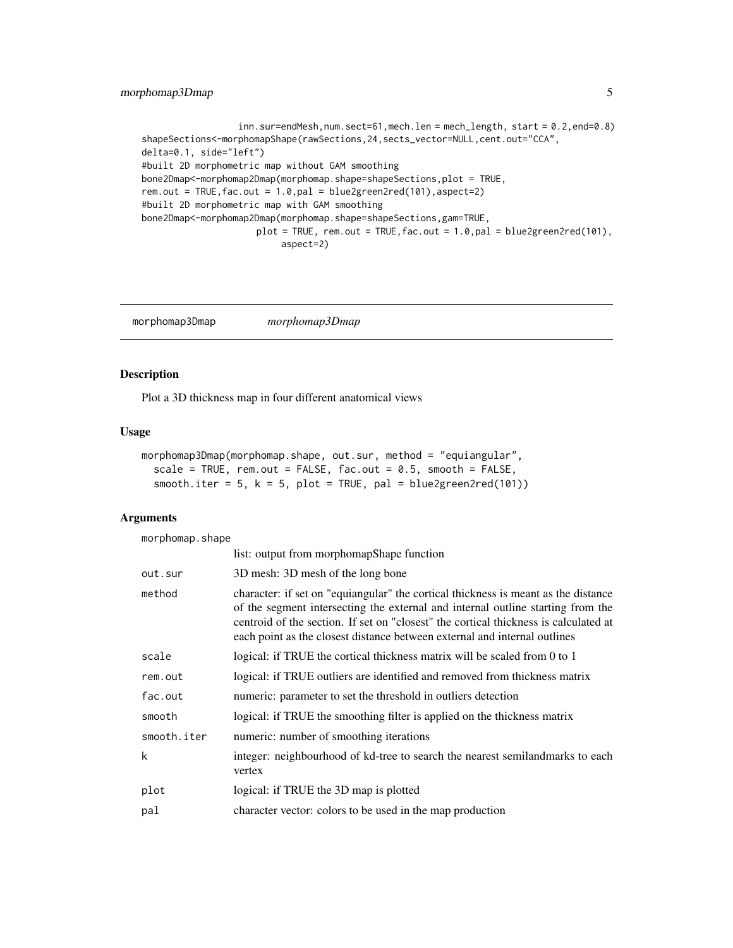# <span id="page-4-0"></span>morphomap3Dmap 5

```
inn.sur=endMesh,num.sect=61,mech.len = mech_length, start = 0.2,end=0.8)
shapeSections<-morphomapShape(rawSections,24,sects_vector=NULL,cent.out="CCA",
delta=0.1, side="left")
#built 2D morphometric map without GAM smoothing
bone2Dmap<-morphomap2Dmap(morphomap.shape=shapeSections,plot = TRUE,
rem.out = TRUE,fac.out = 1.0,pal = blue2green2red(101),aspect=2)
#built 2D morphometric map with GAM smoothing
bone2Dmap<-morphomap2Dmap(morphomap.shape=shapeSections,gam=TRUE,
                     plot = TRUE, rem.out = TRUE, fac.out = 1.0, pal = blue2green2red(101),
                          aspect=2)
```
morphomap3Dmap *morphomap3Dmap*

# Description

Plot a 3D thickness map in four different anatomical views

### Usage

```
morphomap3Dmap(morphomap.shape, out.sur, method = "equiangular",
  scale = TRUE, rem.out = FALSE, fac.out = 0.5, smooth = FALSE,
  smooth.iter = 5, k = 5, plot = TRUE, pal = blue2green2red(101))
```
#### Arguments

morphomap.shape

|             | list: output from morphomapShape function                                                                                                                                                                                                                                                                                                  |
|-------------|--------------------------------------------------------------------------------------------------------------------------------------------------------------------------------------------------------------------------------------------------------------------------------------------------------------------------------------------|
| out.sur     | 3D mesh: 3D mesh of the long bone                                                                                                                                                                                                                                                                                                          |
| method      | character: if set on "equiangular" the cortical thickness is meant as the distance<br>of the segment intersecting the external and internal outline starting from the<br>centroid of the section. If set on "closest" the cortical thickness is calculated at<br>each point as the closest distance between external and internal outlines |
| scale       | logical: if TRUE the cortical thickness matrix will be scaled from 0 to 1                                                                                                                                                                                                                                                                  |
| rem.out     | logical: if TRUE outliers are identified and removed from thickness matrix                                                                                                                                                                                                                                                                 |
| fac.out     | numeric: parameter to set the threshold in outliers detection                                                                                                                                                                                                                                                                              |
| smooth      | logical: if TRUE the smoothing filter is applied on the thickness matrix                                                                                                                                                                                                                                                                   |
| smooth.iter | numeric: number of smoothing iterations                                                                                                                                                                                                                                                                                                    |
| k           | integer: neighbourhood of kd-tree to search the nearest semilandmarks to each<br>vertex                                                                                                                                                                                                                                                    |
| plot        | logical: if TRUE the 3D map is plotted                                                                                                                                                                                                                                                                                                     |
| pal         | character vector: colors to be used in the map production                                                                                                                                                                                                                                                                                  |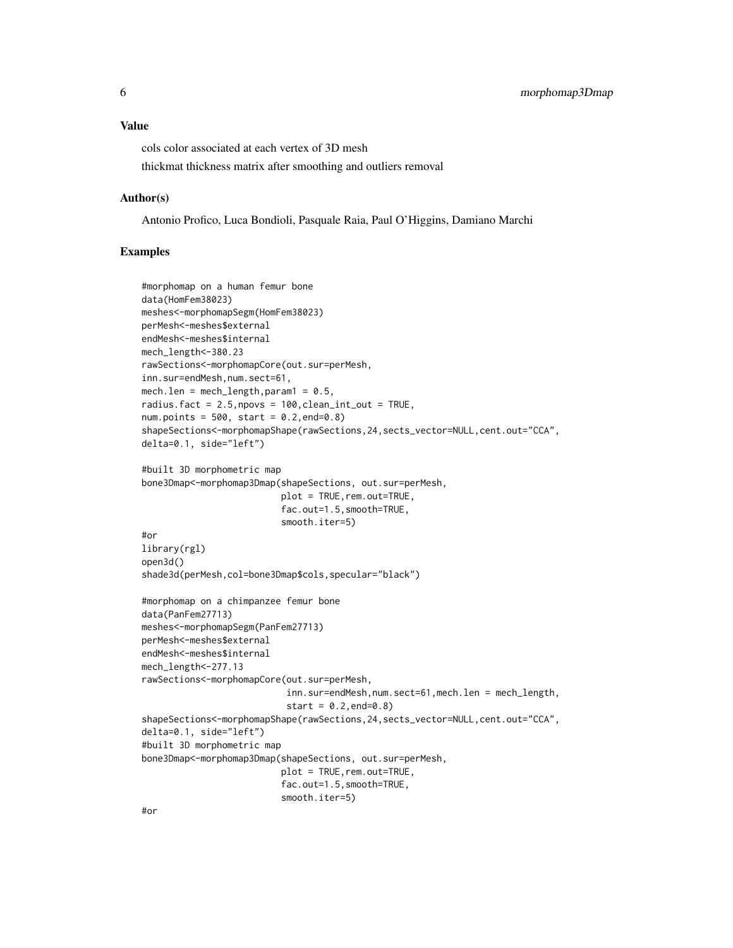#### Value

cols color associated at each vertex of 3D mesh thickmat thickness matrix after smoothing and outliers removal

#### Author(s)

Antonio Profico, Luca Bondioli, Pasquale Raia, Paul O'Higgins, Damiano Marchi

#### Examples

```
#morphomap on a human femur bone
data(HomFem38023)
meshes<-morphomapSegm(HomFem38023)
perMesh<-meshes$external
endMesh<-meshes$internal
mech_length<-380.23
rawSections<-morphomapCore(out.sur=perMesh,
inn.sur=endMesh,num.sect=61,
mech.len = mech_length, param1 = 0.5,
radius.fact = 2.5, npovs = 100, clean_int_out = TRUE,
num.points = 500, start = 0.2, end=0.8)shapeSections<-morphomapShape(rawSections,24,sects_vector=NULL,cent.out="CCA",
delta=0.1, side="left")
#built 3D morphometric map
bone3Dmap<-morphomap3Dmap(shapeSections, out.sur=perMesh,
                          plot = TRUE,rem.out=TRUE,
                          fac.out=1.5,smooth=TRUE,
                          smooth.iter=5)
#or
library(rgl)
open3d()
shade3d(perMesh,col=bone3Dmap$cols,specular="black")
#morphomap on a chimpanzee femur bone
data(PanFem27713)
meshes<-morphomapSegm(PanFem27713)
perMesh<-meshes$external
endMesh<-meshes$internal
mech_length<-277.13
rawSections<-morphomapCore(out.sur=perMesh,
                           inn.sur=endMesh,num.sect=61,mech.len = mech_length,
                           start = 0.2, end = 0.8shapeSections<-morphomapShape(rawSections,24,sects_vector=NULL,cent.out="CCA",
delta=0.1, side="left")
#built 3D morphometric map
bone3Dmap<-morphomap3Dmap(shapeSections, out.sur=perMesh,
                          plot = TRUE, rem.out=TRUE,
                          fac.out=1.5,smooth=TRUE,
                          smooth.iter=5)
```
#or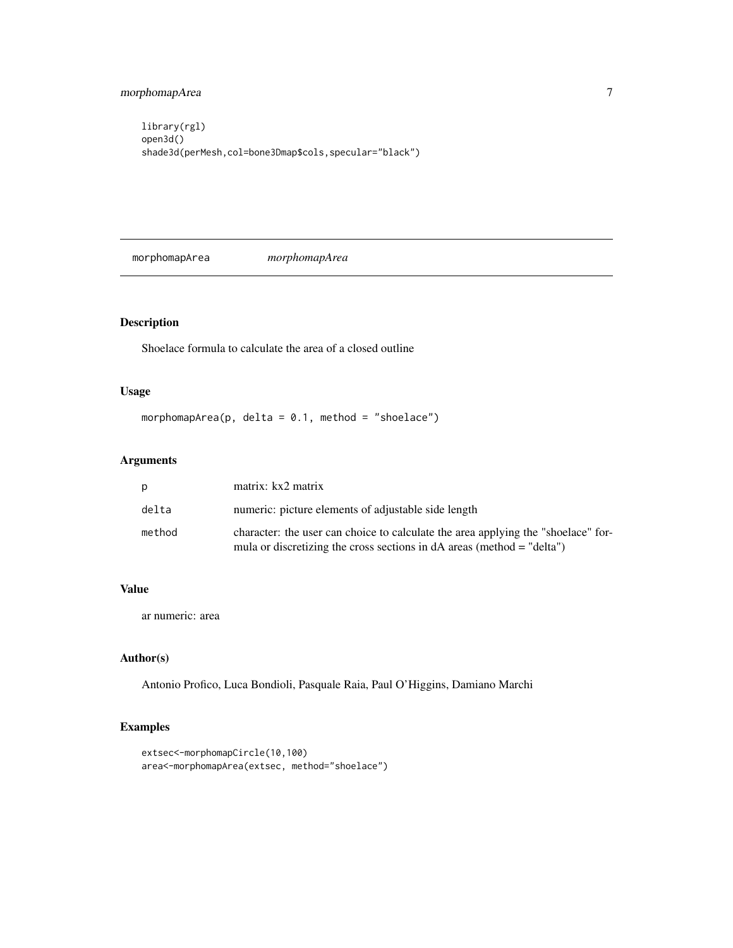<span id="page-6-0"></span>library(rgl) open3d() shade3d(perMesh,col=bone3Dmap\$cols,specular="black")

morphomapArea *morphomapArea*

# Description

Shoelace formula to calculate the area of a closed outline

# Usage

morphomapArea(p, delta =  $0.1$ , method = "shoelace")

# Arguments

| D      | matrix: kx2 matrix                                                                                                                                            |
|--------|---------------------------------------------------------------------------------------------------------------------------------------------------------------|
| delta  | numeric: picture elements of adjustable side length                                                                                                           |
| method | character: the user can choice to calculate the area applying the "shoelace" for-<br>mula or discretizing the cross sections in $dA$ areas (method = "delta") |

# Value

ar numeric: area

# Author(s)

Antonio Profico, Luca Bondioli, Pasquale Raia, Paul O'Higgins, Damiano Marchi

```
extsec<-morphomapCircle(10,100)
area<-morphomapArea(extsec, method="shoelace")
```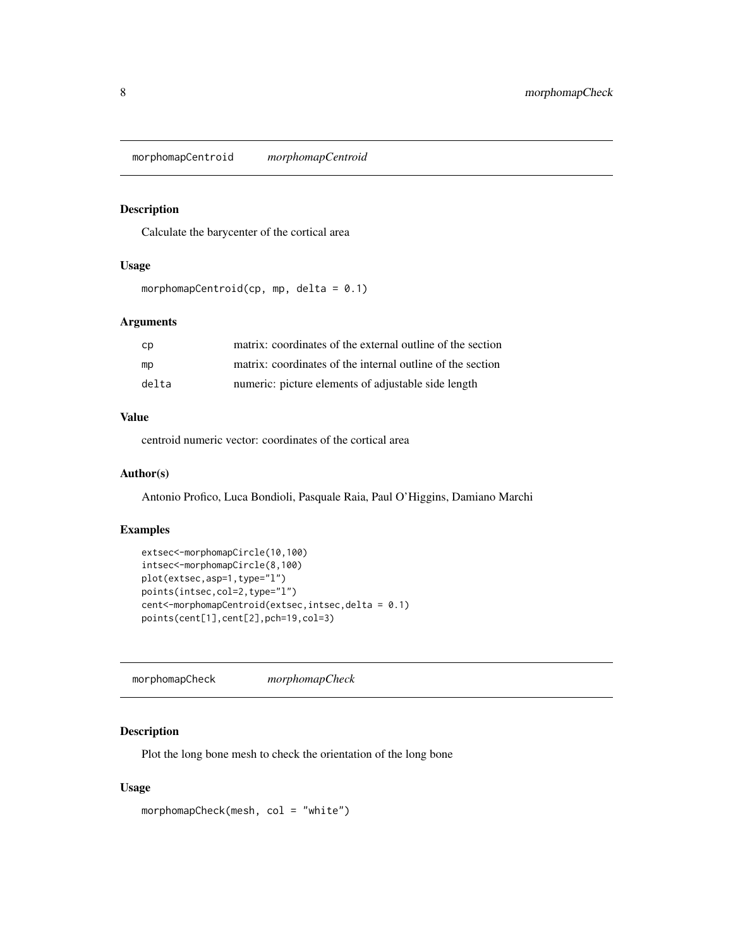<span id="page-7-0"></span>morphomapCentroid *morphomapCentroid*

# Description

Calculate the barycenter of the cortical area

# Usage

morphomapCentroid(cp, mp, delta =  $0.1$ )

# Arguments

| cp    | matrix: coordinates of the external outline of the section |
|-------|------------------------------------------------------------|
| mp    | matrix: coordinates of the internal outline of the section |
| delta | numeric: picture elements of adjustable side length        |

### Value

centroid numeric vector: coordinates of the cortical area

# Author(s)

Antonio Profico, Luca Bondioli, Pasquale Raia, Paul O'Higgins, Damiano Marchi

#### Examples

```
extsec<-morphomapCircle(10,100)
intsec<-morphomapCircle(8,100)
plot(extsec,asp=1,type="l")
points(intsec,col=2,type="l")
cent<-morphomapCentroid(extsec,intsec,delta = 0.1)
points(cent[1],cent[2],pch=19,col=3)
```
morphomapCheck *morphomapCheck*

# Description

Plot the long bone mesh to check the orientation of the long bone

# Usage

morphomapCheck(mesh, col = "white")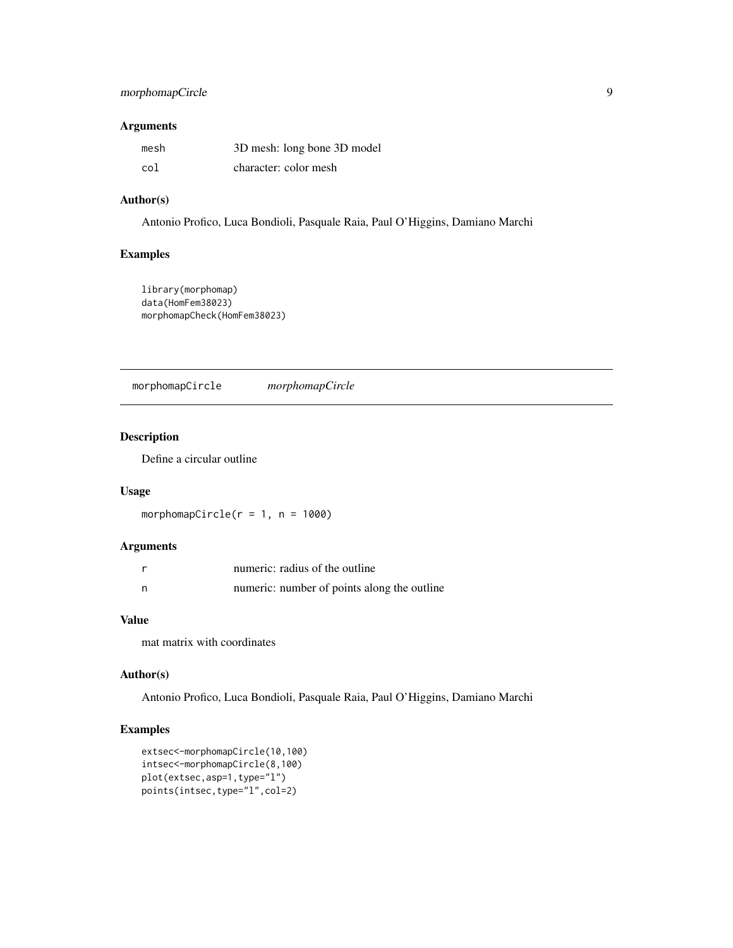# <span id="page-8-0"></span>morphomapCircle 9

## Arguments

| mesh | 3D mesh: long bone 3D model |
|------|-----------------------------|
| col  | character: color mesh       |

# Author(s)

Antonio Profico, Luca Bondioli, Pasquale Raia, Paul O'Higgins, Damiano Marchi

#### Examples

```
library(morphomap)
data(HomFem38023)
morphomapCheck(HomFem38023)
```
morphomapCircle *morphomapCircle*

#### Description

Define a circular outline

### Usage

morphomapCircle( $r = 1$ ,  $n = 1000$ )

# Arguments

| numeric: radius of the outline              |
|---------------------------------------------|
| numeric: number of points along the outline |

# Value

mat matrix with coordinates

# Author(s)

Antonio Profico, Luca Bondioli, Pasquale Raia, Paul O'Higgins, Damiano Marchi

```
extsec<-morphomapCircle(10,100)
intsec<-morphomapCircle(8,100)
plot(extsec,asp=1,type="l")
points(intsec,type="l",col=2)
```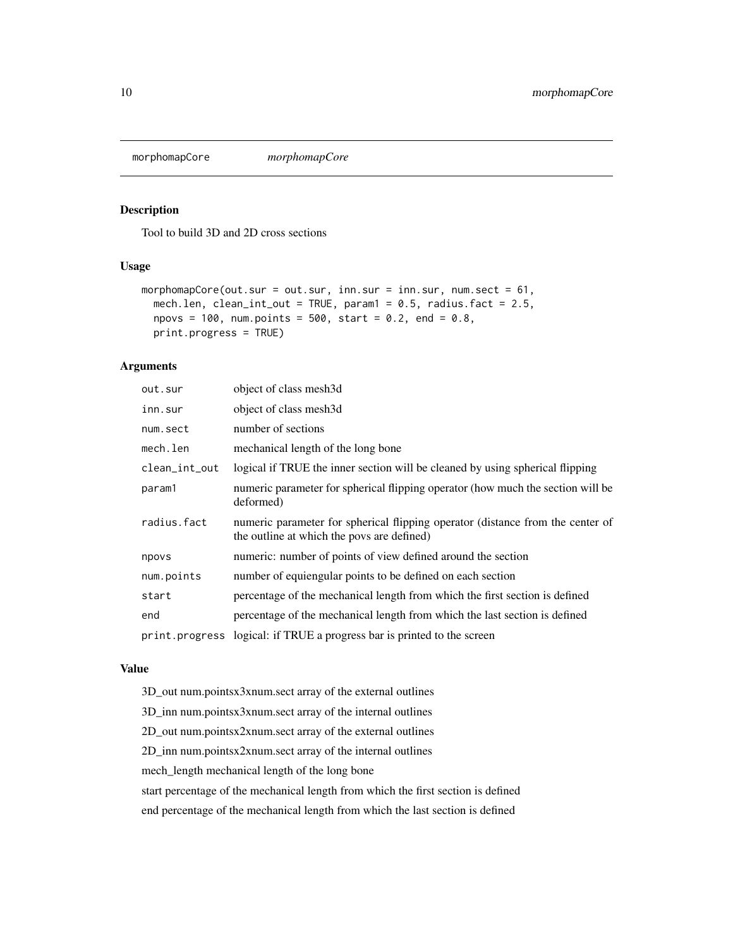<span id="page-9-0"></span>morphomapCore *morphomapCore*

#### Description

Tool to build 3D and 2D cross sections

# Usage

```
morphomapCore(out.sur = out.sur, inn.sur = inn.sur, num.sect = 61,
 mech.len, clean_int_out = TRUE, param1 = 0.5, radius.fact = 2.5,
 npovs = 100, num.points = 500, start = 0.2, end = 0.8,
 print.progress = TRUE)
```
# Arguments

| out.sur       | object of class mesh3d                                                                                                       |
|---------------|------------------------------------------------------------------------------------------------------------------------------|
| inn.sur       | object of class mesh3d                                                                                                       |
| num.sect      | number of sections                                                                                                           |
| mech.len      | mechanical length of the long bone                                                                                           |
| clean_int_out | logical if TRUE the inner section will be cleaned by using spherical flipping                                                |
| param1        | numeric parameter for spherical flipping operator (how much the section will be<br>deformed)                                 |
| radius.fact   | numeric parameter for spherical flipping operator (distance from the center of<br>the outline at which the povs are defined) |
| npovs         | numeric: number of points of view defined around the section                                                                 |
| num.points    | number of equiengular points to be defined on each section                                                                   |
| start         | percentage of the mechanical length from which the first section is defined                                                  |
| end           | percentage of the mechanical length from which the last section is defined                                                   |
|               | print. progress logical: if TRUE a progress bar is printed to the screen                                                     |

#### Value

3D\_out num.pointsx3xnum.sect array of the external outlines

3D\_inn num.pointsx3xnum.sect array of the internal outlines

2D\_out num.pointsx2xnum.sect array of the external outlines

2D\_inn num.pointsx2xnum.sect array of the internal outlines

mech\_length mechanical length of the long bone

start percentage of the mechanical length from which the first section is defined

end percentage of the mechanical length from which the last section is defined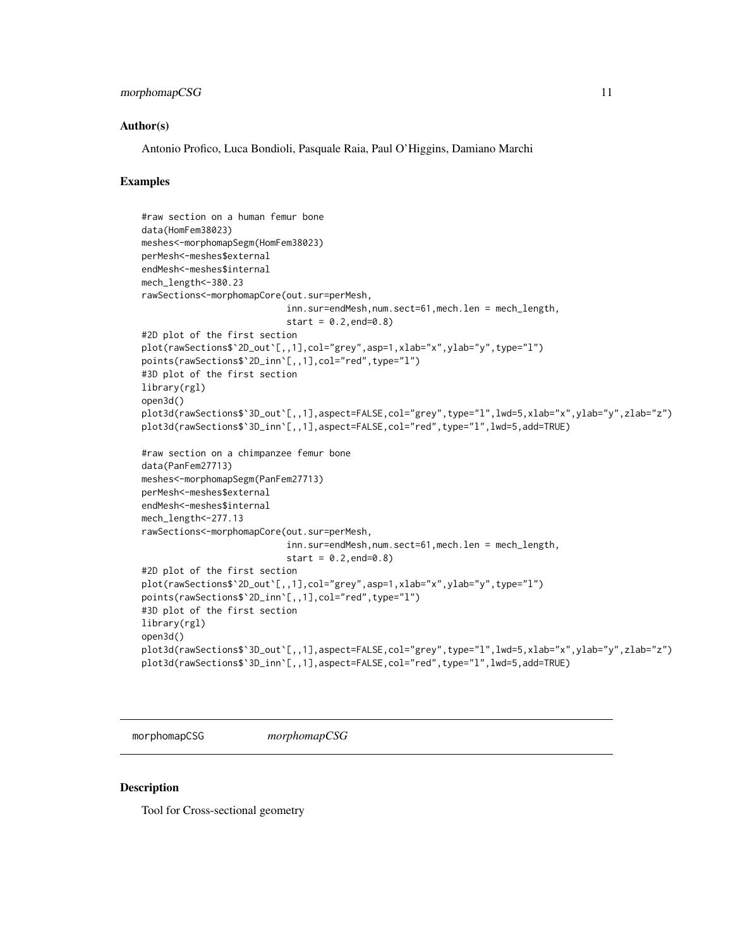#### <span id="page-10-0"></span>morphomapCSG 11

#### Author(s)

Antonio Profico, Luca Bondioli, Pasquale Raia, Paul O'Higgins, Damiano Marchi

#### Examples

```
#raw section on a human femur bone
data(HomFem38023)
meshes<-morphomapSegm(HomFem38023)
perMesh<-meshes$external
endMesh<-meshes$internal
mech_length<-380.23
rawSections<-morphomapCore(out.sur=perMesh,
                           inn.sur=endMesh,num.sect=61,mech.len = mech_length,
                           start = 0.2, end = 0.8#2D plot of the first section
plot(rawSections$`2D_out`[,,1],col="grey",asp=1,xlab="x",ylab="y",type="l")
points(rawSections$`2D_inn`[,,1],col="red",type="l")
#3D plot of the first section
library(rgl)
open3d()
plot3d(rawSections$`3D_out`[,,1],aspect=FALSE,col="grey",type="l",lwd=5,xlab="x",ylab="y",zlab="z")
plot3d(rawSections$`3D_inn`[,,1],aspect=FALSE,col="red",type="l",lwd=5,add=TRUE)
#raw section on a chimpanzee femur bone
data(PanFem27713)
meshes<-morphomapSegm(PanFem27713)
perMesh<-meshes$external
endMesh<-meshes$internal
mech_length<-277.13
rawSections<-morphomapCore(out.sur=perMesh,
                           inn.sur=endMesh,num.sect=61,mech.len = mech_length,
                           start = 0.2, end = 0.8#2D plot of the first section
plot(rawSections$`2D_out`[,,1],col="grey",asp=1,xlab="x",ylab="y",type="l")
points(rawSections$`2D_inn`[,,1],col="red",type="l")
#3D plot of the first section
library(rgl)
open3d()
plot3d(rawSections$`3D_out`[,,1],aspect=FALSE,col="grey",type="l",lwd=5,xlab="x",ylab="y",zlab="z")
plot3d(rawSections$`3D_inn`[,,1],aspect=FALSE,col="red",type="l",lwd=5,add=TRUE)
```
morphomapCSG *morphomapCSG*

#### Description

Tool for Cross-sectional geometry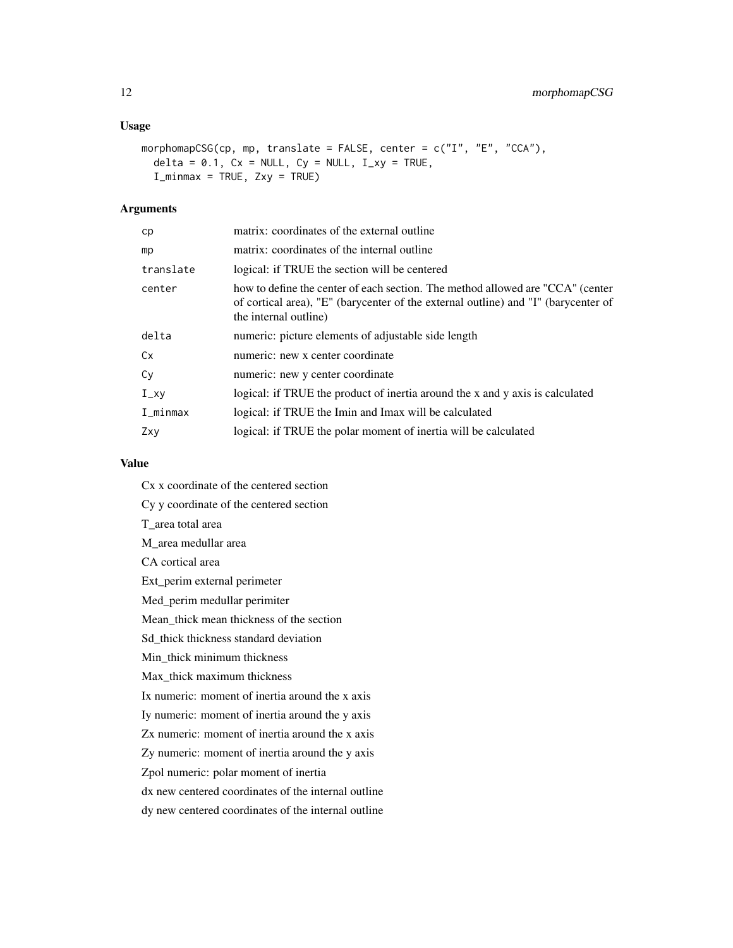# Usage

```
morphomapCSG(cp, mp, translate = FALSE, center = c("I", "E", "CCA"),delta = 0.1, Cx = NULL, Cy = NULL, I_{xy} = TRUE,
  I_minmax = TRUE, Zxy = TRUE)
```
#### Arguments

| cp                    | matrix: coordinates of the external outline                                                                                                                                                   |
|-----------------------|-----------------------------------------------------------------------------------------------------------------------------------------------------------------------------------------------|
| mp                    | matrix: coordinates of the internal outline                                                                                                                                                   |
| translate             | logical: if TRUE the section will be centered                                                                                                                                                 |
| center                | how to define the center of each section. The method allowed are "CCA" (center<br>of cortical area), "E" (barycenter of the external outline) and "I" (barycenter of<br>the internal outline) |
| delta                 | numeric: picture elements of adjustable side length                                                                                                                                           |
| Cx                    | numeric: new x center coordinate                                                                                                                                                              |
| Cy                    | numeric: new y center coordinate                                                                                                                                                              |
| $I_{-}xy$             | logical: if TRUE the product of inertia around the x and y axis is calculated                                                                                                                 |
| $I$ <sub>minmax</sub> | logical: if TRUE the Imin and Imax will be calculated                                                                                                                                         |
| Zxy                   | logical: if TRUE the polar moment of inertia will be calculated                                                                                                                               |

# Value

Cx x coordinate of the centered section Cy y coordinate of the centered section T\_area total area M\_area medullar area CA cortical area Ext\_perim external perimeter Med\_perim medullar perimiter Mean\_thick mean thickness of the section Sd\_thick thickness standard deviation Min\_thick minimum thickness Max\_thick maximum thickness Ix numeric: moment of inertia around the x axis Iy numeric: moment of inertia around the y axis Zx numeric: moment of inertia around the x axis Zy numeric: moment of inertia around the y axis Zpol numeric: polar moment of inertia dx new centered coordinates of the internal outline dy new centered coordinates of the internal outline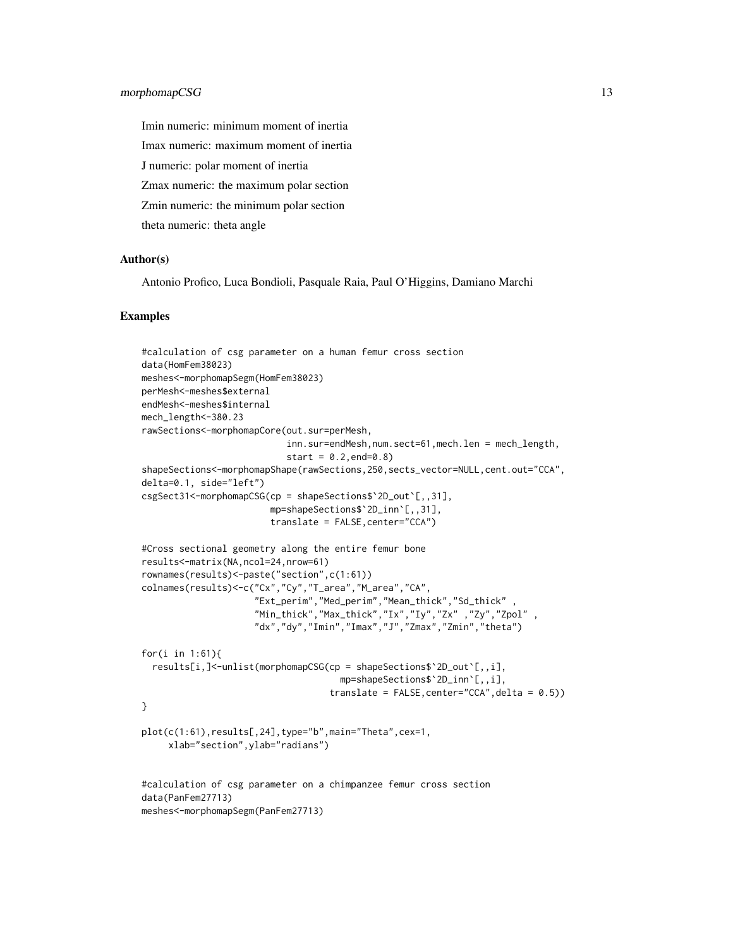Imin numeric: minimum moment of inertia Imax numeric: maximum moment of inertia J numeric: polar moment of inertia Zmax numeric: the maximum polar section Zmin numeric: the minimum polar section theta numeric: theta angle

#### Author(s)

Antonio Profico, Luca Bondioli, Pasquale Raia, Paul O'Higgins, Damiano Marchi

```
#calculation of csg parameter on a human femur cross section
data(HomFem38023)
meshes<-morphomapSegm(HomFem38023)
perMesh<-meshes$external
endMesh<-meshes$internal
mech_length<-380.23
rawSections<-morphomapCore(out.sur=perMesh,
                           inn.sur=endMesh,num.sect=61,mech.len = mech_length,
                           start = 0.2, end = 0.8shapeSections<-morphomapShape(rawSections,250,sects_vector=NULL,cent.out="CCA",
delta=0.1, side="left")
csgSect31<-morphomapCSG(cp = shapeSections$`2D_out`[,,31],
                        mp=shapeSections$`2D_inn`[,,31],
                        translate = FALSE,center="CCA")
#Cross sectional geometry along the entire femur bone
results<-matrix(NA,ncol=24,nrow=61)
rownames(results)<-paste("section",c(1:61))
colnames(results)<-c("Cx","Cy","T_area","M_area","CA",
                     "Ext_perim","Med_perim","Mean_thick","Sd_thick" ,
                     "Min_thick","Max_thick","Ix","Iy","Zx" ,"Zy","Zpol" ,
                     "dx","dy","Imin","Imax","J","Zmax","Zmin","theta")
for(i in 1:61){
 results[i,]<-unlist(morphomapCSG(cp = shapeSections$`2D_out`[,,i],
                                     mp=shapeSections$`2D_inn`[,,i],
                                   translate = FALSE,center="CCA",delta = 0.5))
}
plot(c(1:61),results[,24],type="b",main="Theta",cex=1,
     xlab="section",ylab="radians")
#calculation of csg parameter on a chimpanzee femur cross section
data(PanFem27713)
meshes<-morphomapSegm(PanFem27713)
```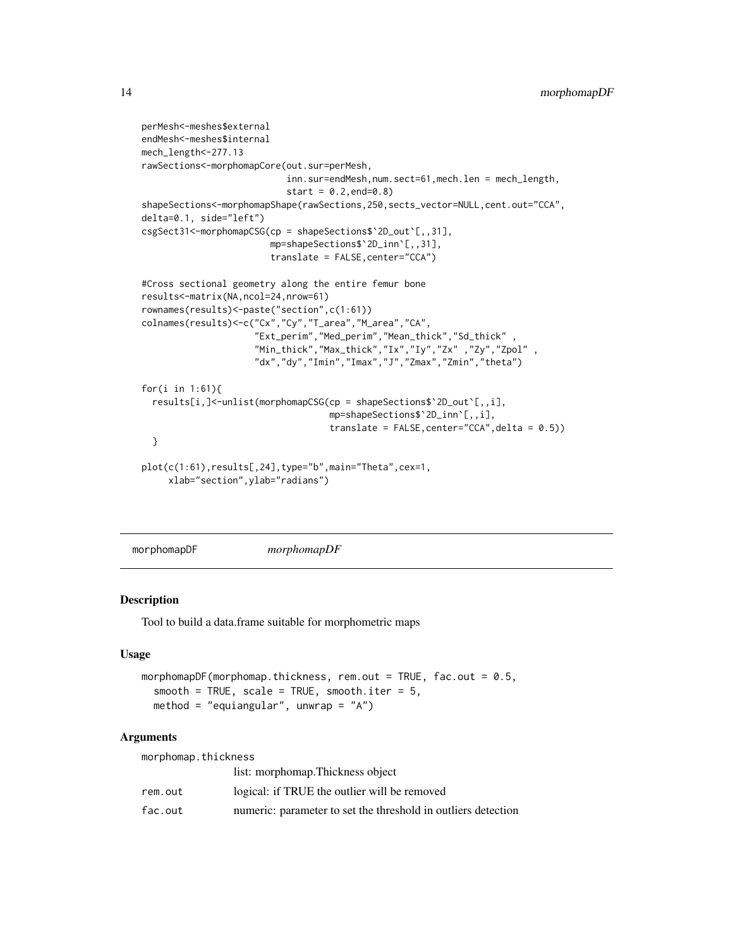```
perMesh<-meshes$external
endMesh<-meshes$internal
mech_length<-277.13
rawSections<-morphomapCore(out.sur=perMesh,
                           inn.sur=endMesh,num.sect=61,mech.len = mech_length,
                           start = 0.2, end = 0.8shapeSections<-morphomapShape(rawSections,250,sects_vector=NULL,cent.out="CCA",
delta=0.1, side="left")
csgSect31<-morphomapCSG(cp = shapeSections$`2D_out`[,,31],
                        mp=shapeSections$`2D_inn`[,,31],
                        translate = FALSE,center="CCA")
#Cross sectional geometry along the entire femur bone
results<-matrix(NA,ncol=24,nrow=61)
rownames(results)<-paste("section",c(1:61))
colnames(results)<-c("Cx","Cy","T_area","M_area","CA",
                     "Ext_perim","Med_perim","Mean_thick","Sd_thick" ,
                     "Min_thick","Max_thick","Ix","Iy","Zx" ,"Zy","Zpol" ,
                     "dx","dy","Imin","Imax","J","Zmax","Zmin","theta")
for(i in 1:61){
 results[i,]<-unlist(morphomapCSG(cp = shapeSections$`2D_out`[,,i],
                                   mp=shapeSections$`2D_inn`[,,i],
                                   translate = FALSE,center="CCA",delta = 0.5))
 }
plot(c(1:61),results[,24],type="b",main="Theta",cex=1,
     xlab="section",ylab="radians")
```
morphomapDF *morphomapDF*

#### Description

Tool to build a data.frame suitable for morphometric maps

#### Usage

```
morphomapDF(morphomap.thickness, rem.out = TRUE, fac.out = 0.5,
  smooth = TRUE, scale = TRUE, smooth.iter = 5,
 method = "equiangular", unwrap = 'A")
```
#### Arguments

morphomap.thickness

|         | list: morphomap. Thickness object                             |
|---------|---------------------------------------------------------------|
| rem.out | logical: if TRUE the outlier will be removed                  |
| fac.out | numeric: parameter to set the threshold in outliers detection |

<span id="page-13-0"></span>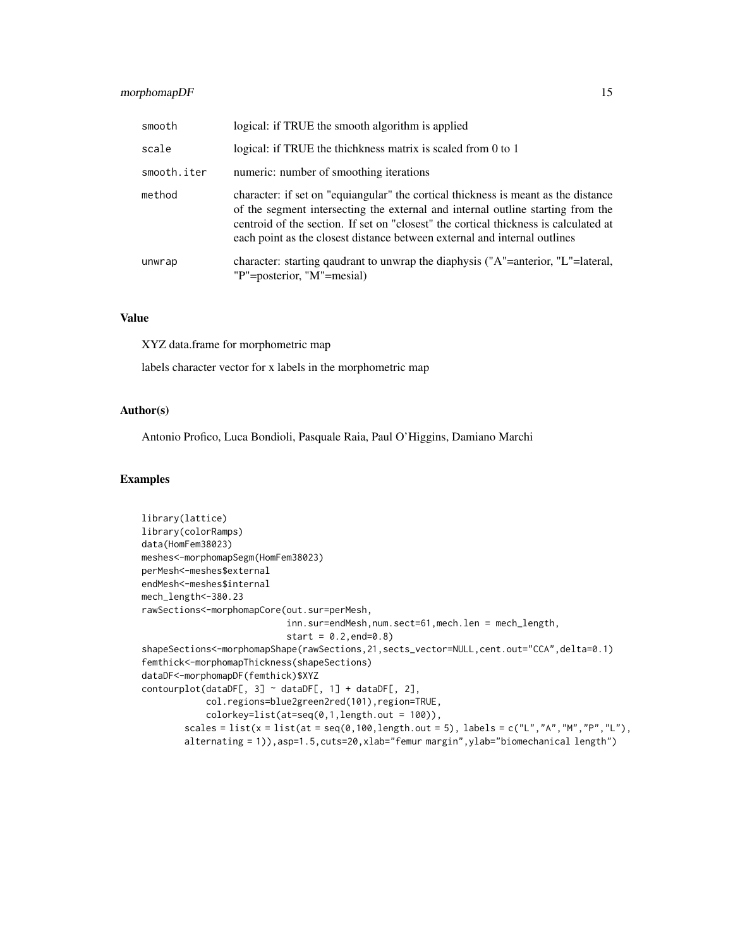# morphomapDF 15

| smooth      | logical: if TRUE the smooth algorithm is applied                                                                                                                                                                                                                                                                                           |
|-------------|--------------------------------------------------------------------------------------------------------------------------------------------------------------------------------------------------------------------------------------------------------------------------------------------------------------------------------------------|
| scale       | logical: if TRUE the thichkness matrix is scaled from 0 to 1                                                                                                                                                                                                                                                                               |
| smooth.iter | numeric: number of smoothing iterations                                                                                                                                                                                                                                                                                                    |
| method      | character: if set on "equiangular" the cortical thickness is meant as the distance<br>of the segment intersecting the external and internal outline starting from the<br>centroid of the section. If set on "closest" the cortical thickness is calculated at<br>each point as the closest distance between external and internal outlines |
| unwrap      | character: starting quadrant to unwrap the diaphysis ("A"=anterior, "L"=lateral,<br>"P"=posterior, "M"=mesial)                                                                                                                                                                                                                             |

#### Value

XYZ data.frame for morphometric map

labels character vector for x labels in the morphometric map

#### Author(s)

Antonio Profico, Luca Bondioli, Pasquale Raia, Paul O'Higgins, Damiano Marchi

```
library(lattice)
library(colorRamps)
data(HomFem38023)
meshes<-morphomapSegm(HomFem38023)
perMesh<-meshes$external
endMesh<-meshes$internal
mech_length<-380.23
rawSections<-morphomapCore(out.sur=perMesh,
                           inn.sur=endMesh,num.sect=61,mech.len = mech_length,
                            start = 0.2, end = 0.8shapeSections<-morphomapShape(rawSections,21,sects_vector=NULL,cent.out="CCA",delta=0.1)
femthick<-morphomapThickness(shapeSections)
dataDF<-morphomapDF(femthick)$XYZ
contourplot(dataDF[, 3] \sim dataDF[, 1] + dataDF[, 2],
            col.regions=blue2green2red(101),region=TRUE,
            colorkey=list(at=seq(0,1,length.out = 100)),
        scales = list(x = list(at = seq(0, 100, length.out = 5), labels = c("L", "A", "M", "P", "L"),alternating = 1)), asp=1.5, cuts=20, xlab="femur margin", ylab="biomechanical length")
```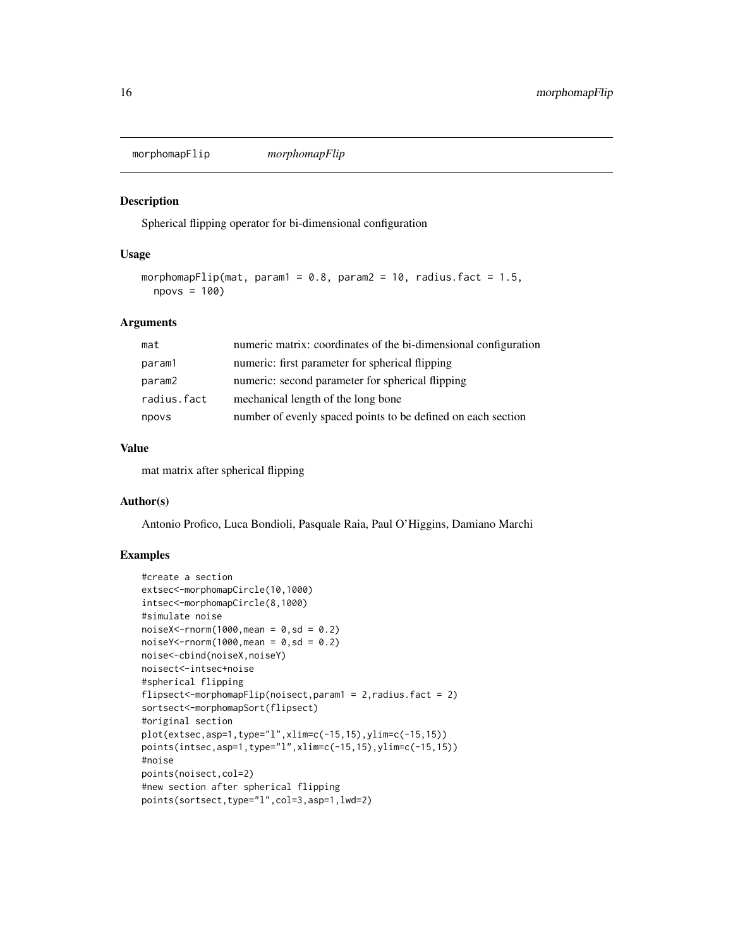<span id="page-15-0"></span>morphomapFlip *morphomapFlip*

#### Description

Spherical flipping operator for bi-dimensional configuration

# Usage

```
morphomapFlip(mat, param1 = 0.8, param2 = 10, radius.fact = 1.5,
 npovs = 100)
```
# Arguments

| mat         | numeric matrix: coordinates of the bi-dimensional configuration |
|-------------|-----------------------------------------------------------------|
| param1      | numeric: first parameter for spherical flipping                 |
| param2      | numeric: second parameter for spherical flipping                |
| radius.fact | mechanical length of the long bone                              |
| npovs       | number of evenly spaced points to be defined on each section    |

## Value

mat matrix after spherical flipping

# Author(s)

Antonio Profico, Luca Bondioli, Pasquale Raia, Paul O'Higgins, Damiano Marchi

```
#create a section
extsec<-morphomapCircle(10,1000)
intsec<-morphomapCircle(8,1000)
#simulate noise
noiseX < -rnorm(1000,mean = 0, sd = 0.2)noiseY < -rnorm(1000,mean = 0, sd = 0.2)noise<-cbind(noiseX,noiseY)
noisect<-intsec+noise
#spherical flipping
flipsect<-morphomapFlip(noisect,param1 = 2,radius.fact = 2)
sortsect<-morphomapSort(flipsect)
#original section
plot(extsec,asp=1,type="l",xlim=c(-15,15),ylim=c(-15,15))
points(intsec,asp=1,type="l",xlim=c(-15,15),ylim=c(-15,15))
#noise
points(noisect,col=2)
#new section after spherical flipping
points(sortsect,type="l",col=3,asp=1,lwd=2)
```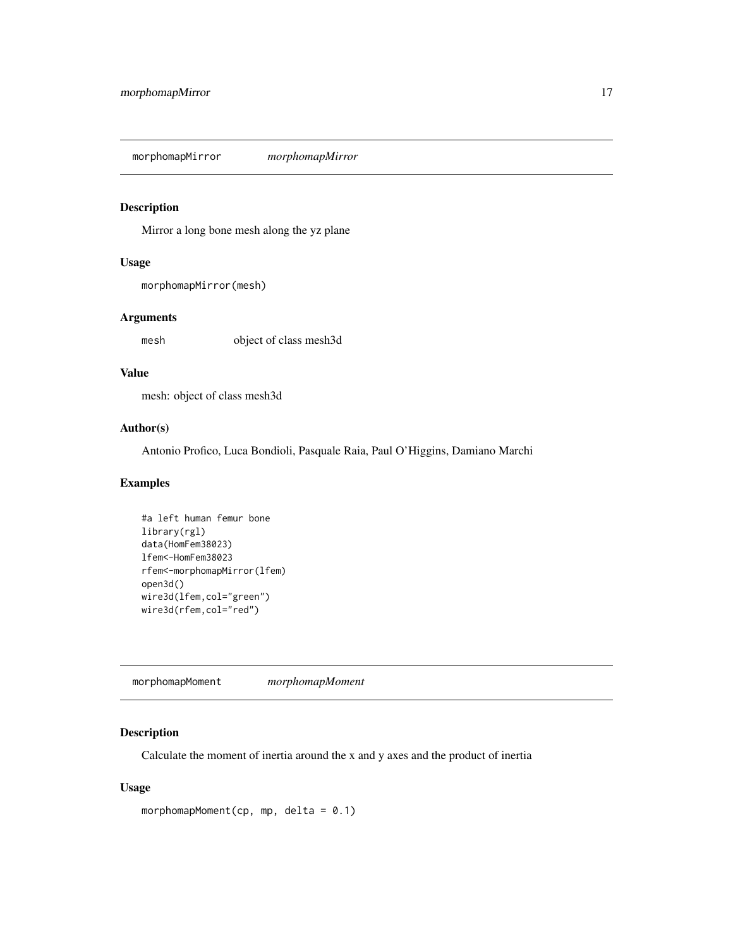<span id="page-16-0"></span>morphomapMirror *morphomapMirror*

# Description

Mirror a long bone mesh along the yz plane

# Usage

```
morphomapMirror(mesh)
```
# Arguments

mesh object of class mesh3d

#### Value

mesh: object of class mesh3d

# Author(s)

Antonio Profico, Luca Bondioli, Pasquale Raia, Paul O'Higgins, Damiano Marchi

# Examples

```
#a left human femur bone
library(rgl)
data(HomFem38023)
lfem<-HomFem38023
rfem<-morphomapMirror(lfem)
open3d()
wire3d(lfem,col="green")
wire3d(rfem,col="red")
```
morphomapMoment *morphomapMoment*

# Description

Calculate the moment of inertia around the x and y axes and the product of inertia

# Usage

```
morphomapMoment(cp, mp, delta = 0.1)
```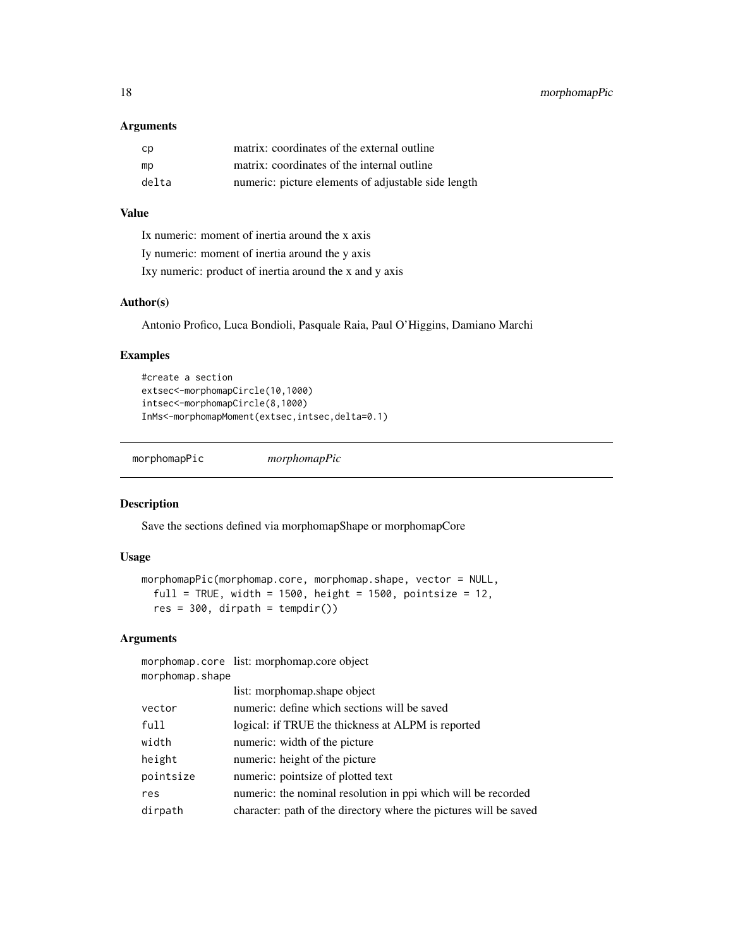#### <span id="page-17-0"></span>Arguments

| cp    | matrix: coordinates of the external outline         |
|-------|-----------------------------------------------------|
| mp    | matrix: coordinates of the internal outline         |
| delta | numeric: picture elements of adjustable side length |

# Value

Ix numeric: moment of inertia around the x axis Iy numeric: moment of inertia around the y axis Ixy numeric: product of inertia around the x and y axis

# Author(s)

Antonio Profico, Luca Bondioli, Pasquale Raia, Paul O'Higgins, Damiano Marchi

# Examples

```
#create a section
extsec<-morphomapCircle(10,1000)
intsec<-morphomapCircle(8,1000)
InMs<-morphomapMoment(extsec,intsec,delta=0.1)
```
morphomapPic *morphomapPic*

#### Description

Save the sections defined via morphomapShape or morphomapCore

# Usage

```
morphomapPic(morphomap.core, morphomap.shape, vector = NULL,
  full = TRUE, width = 1500, height = 1500, pointsize = 12,
 res = 300, dirpath = tempdir())
```
# Arguments

|                 | morphomap.core list: morphomap.core object                        |
|-----------------|-------------------------------------------------------------------|
| morphomap.shape |                                                                   |
|                 | list: morphomap.shape object                                      |
| vector          | numeric: define which sections will be saved                      |
| full            | logical: if TRUE the thickness at ALPM is reported                |
| width           | numeric: width of the picture                                     |
| height          | numeric: height of the picture                                    |
| pointsize       | numeric: pointsize of plotted text                                |
| res             | numeric: the nominal resolution in ppi which will be recorded     |
| dirpath         | character: path of the directory where the pictures will be saved |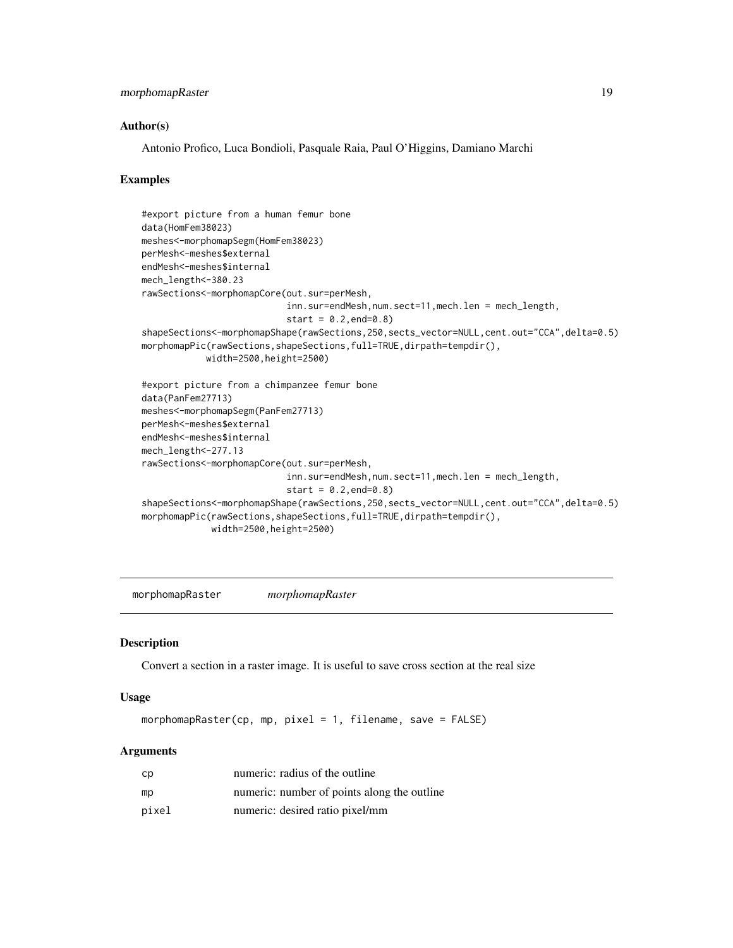# <span id="page-18-0"></span>morphomapRaster 19

#### Author(s)

Antonio Profico, Luca Bondioli, Pasquale Raia, Paul O'Higgins, Damiano Marchi

#### Examples

```
#export picture from a human femur bone
data(HomFem38023)
meshes<-morphomapSegm(HomFem38023)
perMesh<-meshes$external
endMesh<-meshes$internal
mech_length<-380.23
rawSections<-morphomapCore(out.sur=perMesh,
                           inn.sur=endMesh,num.sect=11,mech.len = mech_length,
                           start = 0.2, end = 0.8shapeSections<-morphomapShape(rawSections,250,sects_vector=NULL,cent.out="CCA",delta=0.5)
morphomapPic(rawSections,shapeSections,full=TRUE,dirpath=tempdir(),
            width=2500,height=2500)
#export picture from a chimpanzee femur bone
data(PanFem27713)
meshes<-morphomapSegm(PanFem27713)
perMesh<-meshes$external
endMesh<-meshes$internal
mech_length<-277.13
rawSections<-morphomapCore(out.sur=perMesh,
                           inn.sur=endMesh,num.sect=11,mech.len = mech_length,
                           start = 0.2, end = 0.8shapeSections<-morphomapShape(rawSections,250,sects_vector=NULL,cent.out="CCA",delta=0.5)
morphomapPic(rawSections,shapeSections,full=TRUE,dirpath=tempdir(),
             width=2500,height=2500)
```
morphomapRaster *morphomapRaster*

#### Description

Convert a section in a raster image. It is useful to save cross section at the real size

#### Usage

morphomapRaster(cp, mp, pixel = 1, filename, save =  $FALSE$ )

#### Arguments

| cp    | numeric: radius of the outline              |
|-------|---------------------------------------------|
| mp    | numeric: number of points along the outline |
| pixel | numeric: desired ratio pixel/mm             |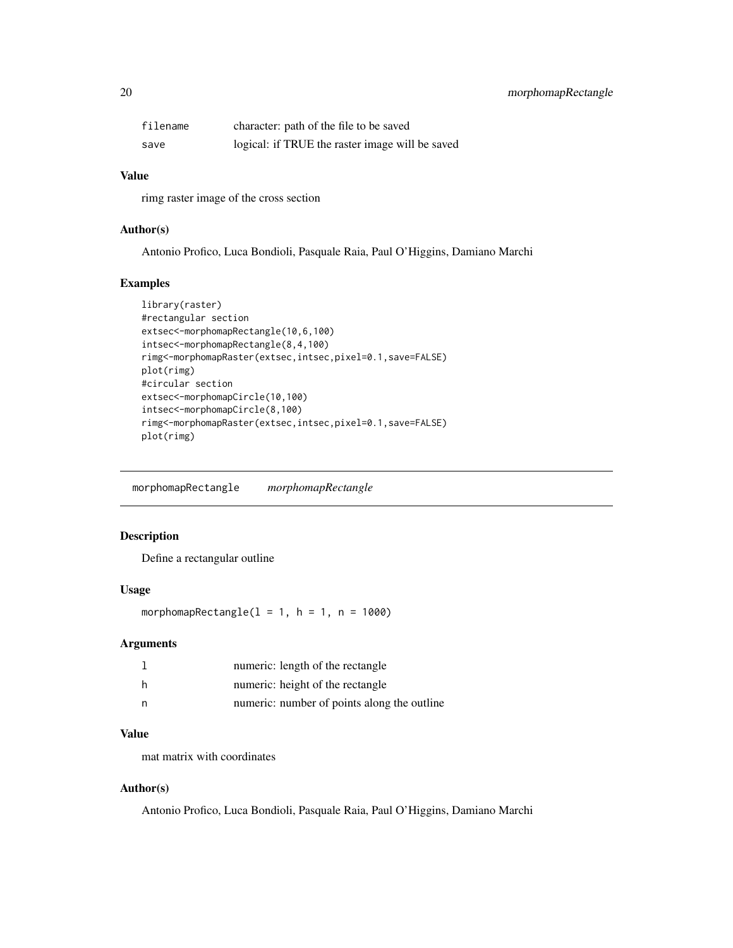<span id="page-19-0"></span>

| filename | character: path of the file to be saved         |
|----------|-------------------------------------------------|
| save     | logical: if TRUE the raster image will be saved |

# Value

rimg raster image of the cross section

# Author(s)

Antonio Profico, Luca Bondioli, Pasquale Raia, Paul O'Higgins, Damiano Marchi

# Examples

```
library(raster)
#rectangular section
extsec<-morphomapRectangle(10,6,100)
intsec<-morphomapRectangle(8,4,100)
rimg<-morphomapRaster(extsec,intsec,pixel=0.1,save=FALSE)
plot(rimg)
#circular section
extsec<-morphomapCircle(10,100)
intsec<-morphomapCircle(8,100)
rimg<-morphomapRaster(extsec,intsec,pixel=0.1,save=FALSE)
plot(rimg)
```
morphomapRectangle *morphomapRectangle*

### Description

Define a rectangular outline

# Usage

morphomapRectangle( $1 = 1$ ,  $h = 1$ ,  $n = 1000$ )

#### Arguments

|   | numeric: length of the rectangle            |
|---|---------------------------------------------|
| h | numeric: height of the rectangle            |
| n | numeric: number of points along the outline |

# Value

mat matrix with coordinates

# Author(s)

Antonio Profico, Luca Bondioli, Pasquale Raia, Paul O'Higgins, Damiano Marchi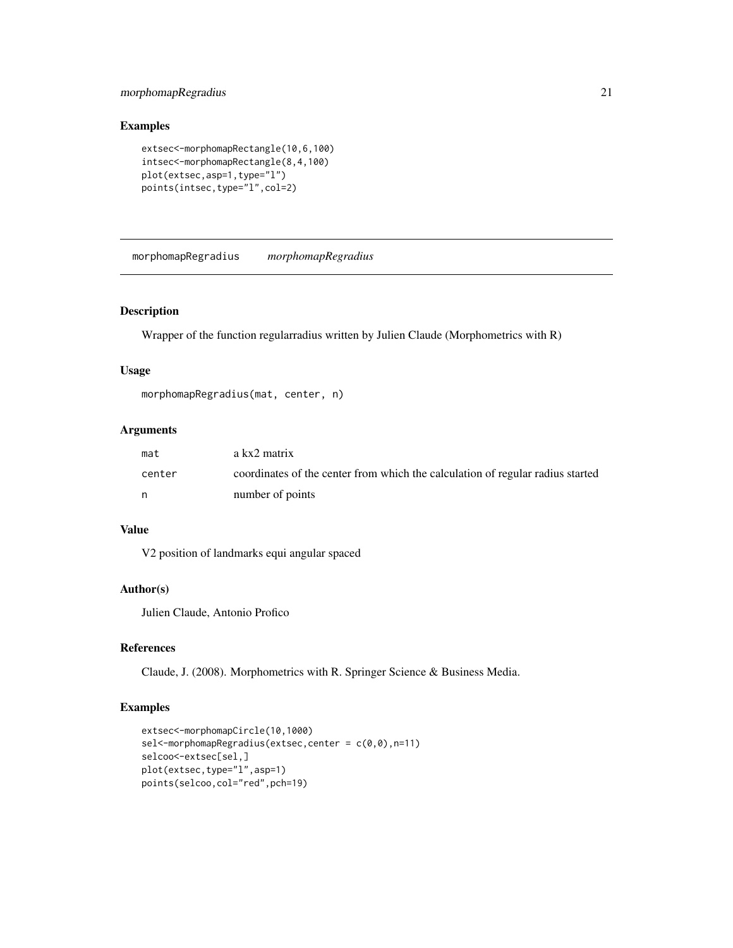# <span id="page-20-0"></span>morphomapRegradius 21

# Examples

```
extsec<-morphomapRectangle(10,6,100)
intsec<-morphomapRectangle(8,4,100)
plot(extsec,asp=1,type="l")
points(intsec,type="l",col=2)
```
morphomapRegradius *morphomapRegradius*

# Description

Wrapper of the function regularradius written by Julien Claude (Morphometrics with R)

# Usage

```
morphomapRegradius(mat, center, n)
```
# Arguments

| mat    | a kx2 matrix                                                                   |
|--------|--------------------------------------------------------------------------------|
| center | coordinates of the center from which the calculation of regular radius started |
| n.     | number of points                                                               |

#### Value

V2 position of landmarks equi angular spaced

# Author(s)

Julien Claude, Antonio Profico

# References

Claude, J. (2008). Morphometrics with R. Springer Science & Business Media.

```
extsec<-morphomapCircle(10,1000)
sel<-morphomapRegradius(extsec, center = c(0,0), n=11)
selcoo<-extsec[sel,]
plot(extsec,type="l",asp=1)
points(selcoo,col="red",pch=19)
```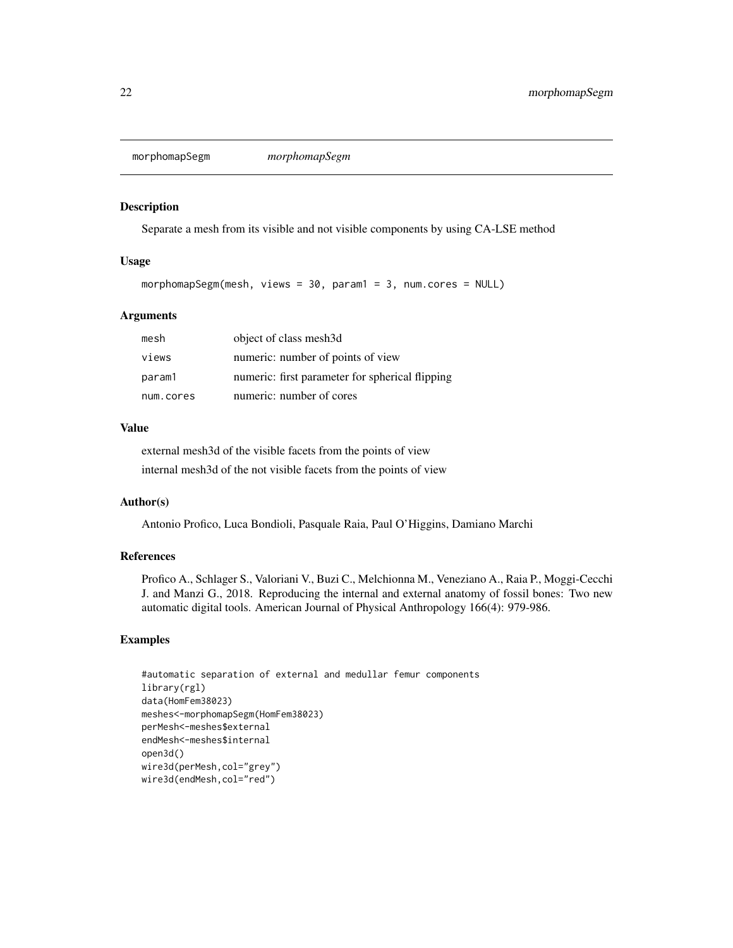<span id="page-21-0"></span>morphomapSegm *morphomapSegm*

# Description

Separate a mesh from its visible and not visible components by using CA-LSE method

#### Usage

```
morphomapSegm(mesh, views = 30, param1 = 3, num.cores = NULL)
```
# Arguments

| mesh      | object of class mesh3d                          |
|-----------|-------------------------------------------------|
| views     | numeric: number of points of view               |
| param1    | numeric: first parameter for spherical flipping |
| num.cores | numeric: number of cores                        |

# Value

external mesh3d of the visible facets from the points of view internal mesh3d of the not visible facets from the points of view

#### Author(s)

Antonio Profico, Luca Bondioli, Pasquale Raia, Paul O'Higgins, Damiano Marchi

#### References

Profico A., Schlager S., Valoriani V., Buzi C., Melchionna M., Veneziano A., Raia P., Moggi-Cecchi J. and Manzi G., 2018. Reproducing the internal and external anatomy of fossil bones: Two new automatic digital tools. American Journal of Physical Anthropology 166(4): 979-986.

```
#automatic separation of external and medullar femur components
library(rgl)
data(HomFem38023)
meshes<-morphomapSegm(HomFem38023)
perMesh<-meshes$external
endMesh<-meshes$internal
open3d()
wire3d(perMesh,col="grey")
wire3d(endMesh,col="red")
```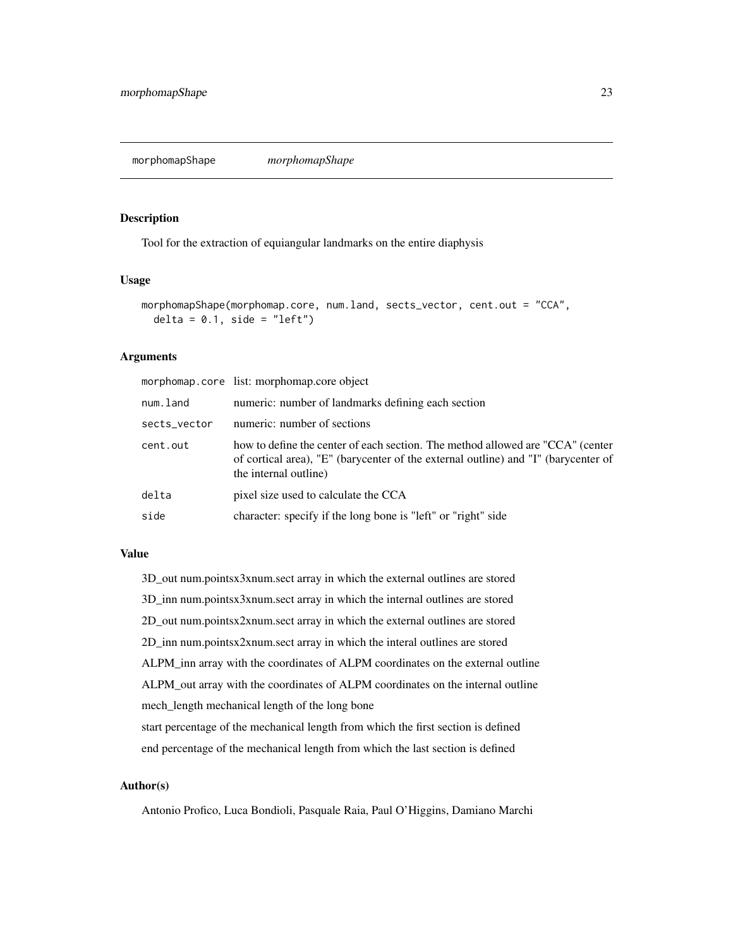<span id="page-22-0"></span>morphomapShape *morphomapShape*

# Description

Tool for the extraction of equiangular landmarks on the entire diaphysis

#### Usage

```
morphomapShape(morphomap.core, num.land, sects_vector, cent.out = "CCA",
 delta = 0.1, side = "left")
```
#### Arguments

|              | morphomap.core list: morphomap.core object                                                                                                                                                    |
|--------------|-----------------------------------------------------------------------------------------------------------------------------------------------------------------------------------------------|
| num.land     | numeric: number of landmarks defining each section                                                                                                                                            |
| sects_vector | numeric: number of sections                                                                                                                                                                   |
| cent.out     | how to define the center of each section. The method allowed are "CCA" (center<br>of cortical area), "E" (barycenter of the external outline) and "I" (barycenter of<br>the internal outline) |
| delta        | pixel size used to calculate the CCA                                                                                                                                                          |
| side         | character: specify if the long bone is "left" or "right" side                                                                                                                                 |

# Value

3D\_out num.pointsx3xnum.sect array in which the external outlines are stored

3D\_inn num.pointsx3xnum.sect array in which the internal outlines are stored

2D\_out num.pointsx2xnum.sect array in which the external outlines are stored

2D\_inn num.pointsx2xnum.sect array in which the interal outlines are stored

ALPM\_inn array with the coordinates of ALPM coordinates on the external outline

ALPM\_out array with the coordinates of ALPM coordinates on the internal outline

mech\_length mechanical length of the long bone

start percentage of the mechanical length from which the first section is defined end percentage of the mechanical length from which the last section is defined

#### Author(s)

Antonio Profico, Luca Bondioli, Pasquale Raia, Paul O'Higgins, Damiano Marchi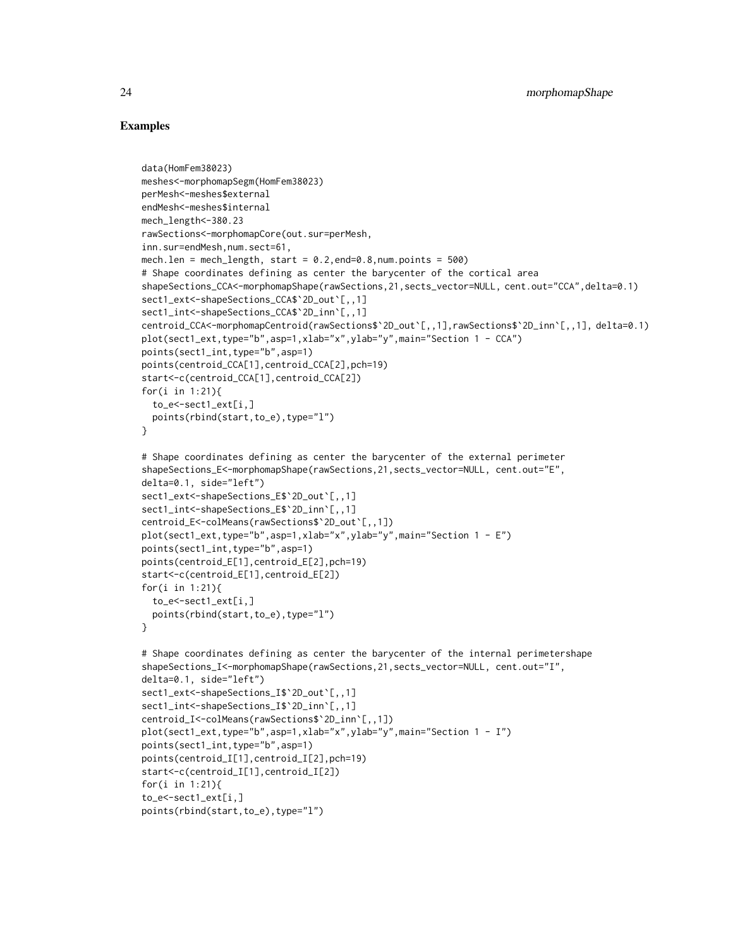```
data(HomFem38023)
meshes<-morphomapSegm(HomFem38023)
perMesh<-meshes$external
endMesh<-meshes$internal
mech_length<-380.23
rawSections<-morphomapCore(out.sur=perMesh,
inn.sur=endMesh,num.sect=61,
mech.len = mech_length, start = 0.2, end=0.8, num.points = 500)
# Shape coordinates defining as center the barycenter of the cortical area
shapeSections_CCA<-morphomapShape(rawSections,21,sects_vector=NULL, cent.out="CCA",delta=0.1)
sect1_ext<-shapeSections_CCA$`2D_out`[,,1]
sect1_int<-shapeSections_CCA$`2D_inn`[,,1]
centroid_CCA<-morphomapCentroid(rawSections$`2D_out`[,,1],rawSections$`2D_inn`[,,1], delta=0.1)
plot(sect1_ext,type="b",asp=1,xlab="x",ylab="y",main="Section 1 - CCA")
points(sect1_int,type="b",asp=1)
points(centroid_CCA[1],centroid_CCA[2],pch=19)
start<-c(centroid_CCA[1],centroid_CCA[2])
for(i in 1:21){
 to_e<-sect1_ext[i,]
 points(rbind(start,to_e),type="l")
}
# Shape coordinates defining as center the barycenter of the external perimeter
shapeSections_E<-morphomapShape(rawSections,21,sects_vector=NULL, cent.out="E",
delta=0.1, side="left")
sect1_ext<-shapeSections_E$`2D_out`[,,1]
sect1_int<-shapeSections_E$`2D_inn`[,,1]
centroid_E<-colMeans(rawSections$`2D_out`[,,1])
plot(sect1_ext,type="b",asp=1,xlab="x",ylab="y",main="Section 1 - E")
points(sect1_int,type="b",asp=1)
points(centroid_E[1],centroid_E[2],pch=19)
start<-c(centroid_E[1],centroid_E[2])
for(i in 1:21){
 to_e<-sect1_ext[i,]
 points(rbind(start,to_e),type="l")
}
# Shape coordinates defining as center the barycenter of the internal perimetershape
shapeSections_I<-morphomapShape(rawSections,21,sects_vector=NULL, cent.out="I",
delta=0.1, side="left")
sect1_ext<-shapeSections_I$`2D_out`[,,1]
sect1_int<-shapeSections_I$`2D_inn`[,,1]
centroid_I<-colMeans(rawSections$`2D_inn`[,,1])
plot(sect1_ext,type="b",asp=1,xlab="x",ylab="y",main="Section 1 - I")
points(sect1_int,type="b",asp=1)
points(centroid_I[1],centroid_I[2],pch=19)
start<-c(centroid_I[1],centroid_I[2])
for(i in 1:21){
to_e<-sect1_ext[i,]
points(rbind(start,to_e),type="l")
```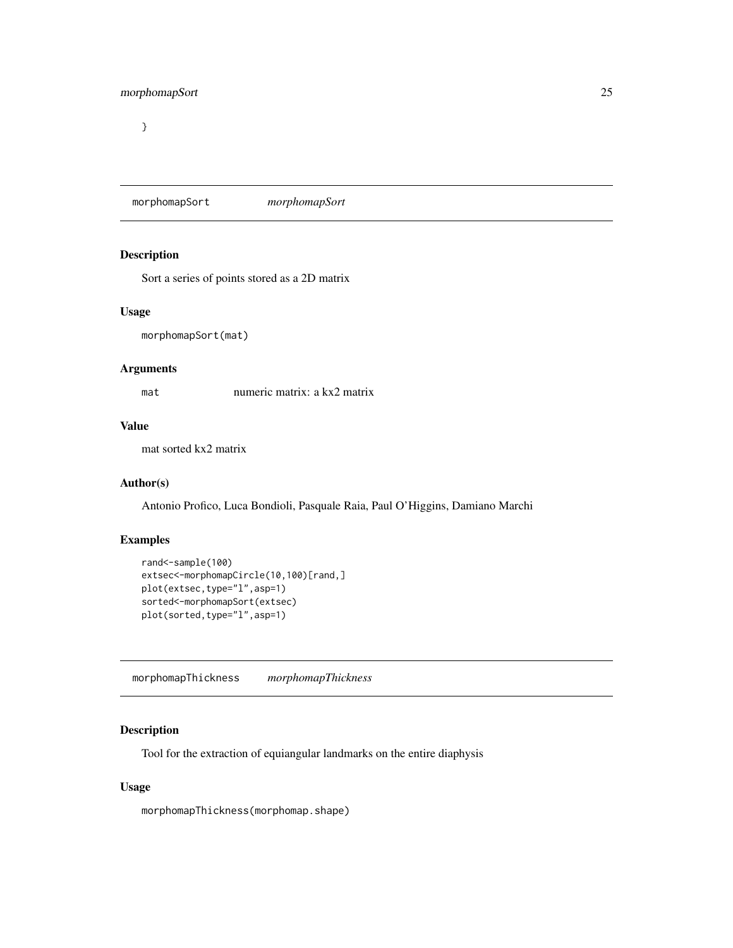<span id="page-24-0"></span>}

morphomapSort *morphomapSort*

# **Description**

Sort a series of points stored as a 2D matrix

#### Usage

morphomapSort(mat)

# Arguments

mat numeric matrix: a kx2 matrix

#### Value

mat sorted kx2 matrix

#### Author(s)

Antonio Profico, Luca Bondioli, Pasquale Raia, Paul O'Higgins, Damiano Marchi

# Examples

```
rand<-sample(100)
extsec<-morphomapCircle(10,100)[rand,]
plot(extsec,type="l",asp=1)
sorted<-morphomapSort(extsec)
plot(sorted,type="l",asp=1)
```
morphomapThickness *morphomapThickness*

# Description

Tool for the extraction of equiangular landmarks on the entire diaphysis

#### Usage

morphomapThickness(morphomap.shape)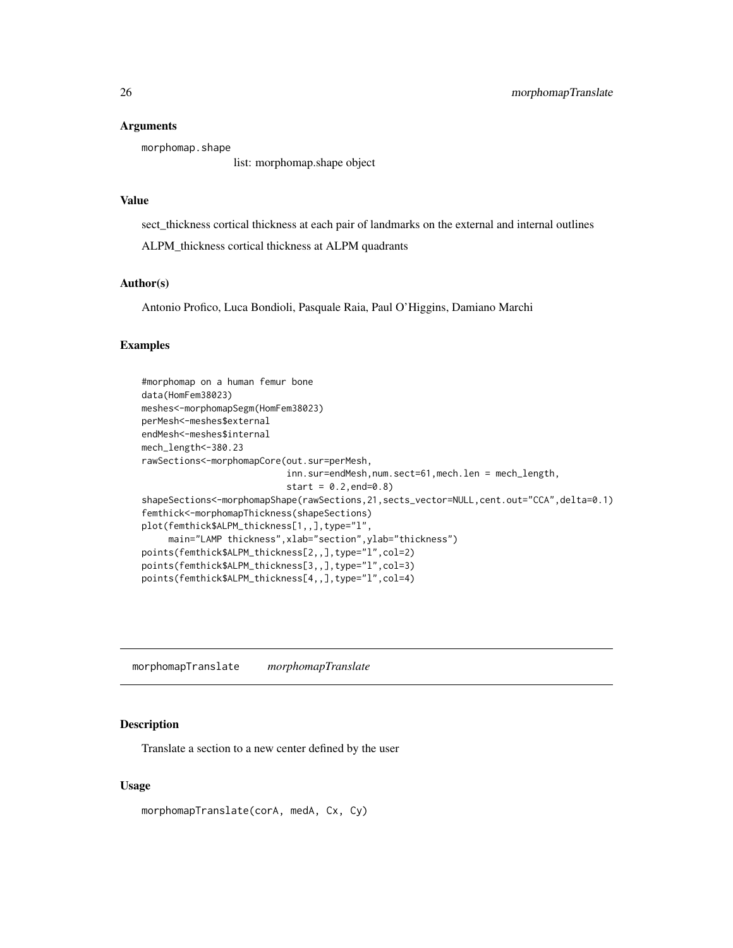#### <span id="page-25-0"></span>Arguments

morphomap.shape

list: morphomap.shape object

# Value

sect\_thickness cortical thickness at each pair of landmarks on the external and internal outlines

ALPM\_thickness cortical thickness at ALPM quadrants

#### Author(s)

Antonio Profico, Luca Bondioli, Pasquale Raia, Paul O'Higgins, Damiano Marchi

# Examples

```
#morphomap on a human femur bone
data(HomFem38023)
meshes<-morphomapSegm(HomFem38023)
perMesh<-meshes$external
endMesh<-meshes$internal
mech_length<-380.23
rawSections<-morphomapCore(out.sur=perMesh,
                           inn.sur=endMesh,num.sect=61,mech.len = mech_length,
                           start = 0.2, end = 0.8shapeSections<-morphomapShape(rawSections,21,sects_vector=NULL,cent.out="CCA",delta=0.1)
femthick<-morphomapThickness(shapeSections)
plot(femthick$ALPM_thickness[1,,],type="l",
     main="LAMP thickness",xlab="section",ylab="thickness")
points(femthick$ALPM_thickness[2,,],type="l",col=2)
points(femthick$ALPM_thickness[3,,],type="l",col=3)
points(femthick$ALPM_thickness[4,,],type="l",col=4)
```
morphomapTranslate *morphomapTranslate*

# Description

Translate a section to a new center defined by the user

#### Usage

morphomapTranslate(corA, medA, Cx, Cy)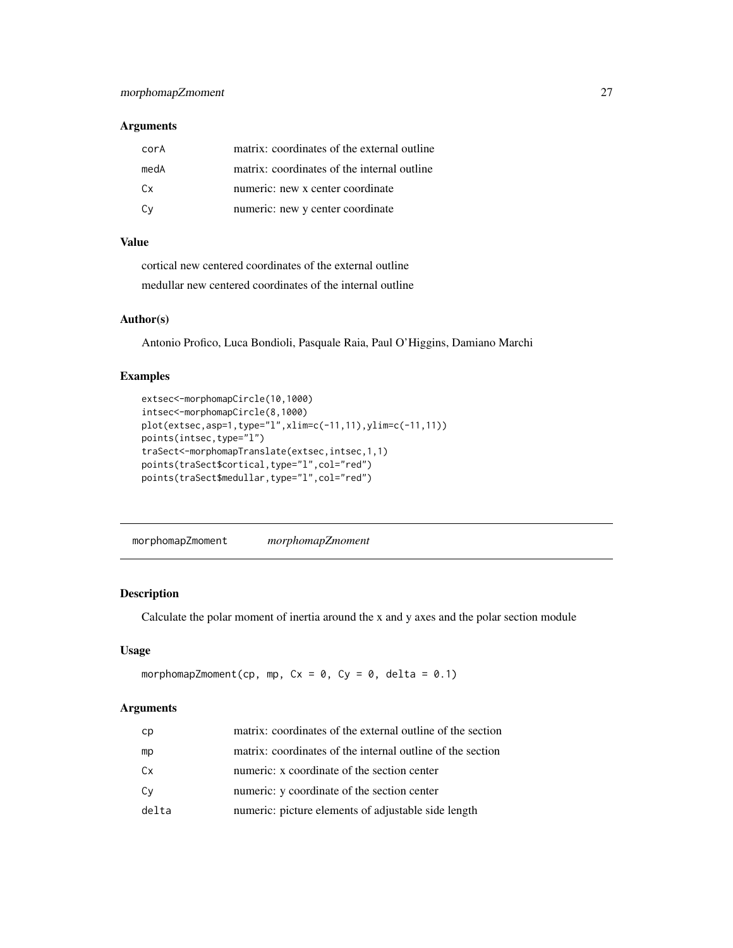# <span id="page-26-0"></span>Arguments

| corA | matrix: coordinates of the external outline |
|------|---------------------------------------------|
| medA | matrix: coordinates of the internal outline |
| Cx.  | numeric: new x center coordinate            |
| Cv   | numeric: new y center coordinate            |

# Value

cortical new centered coordinates of the external outline medullar new centered coordinates of the internal outline

#### Author(s)

Antonio Profico, Luca Bondioli, Pasquale Raia, Paul O'Higgins, Damiano Marchi

# Examples

```
extsec<-morphomapCircle(10,1000)
intsec<-morphomapCircle(8,1000)
plot(extsec,asp=1,type="l",xlim=c(-11,11),ylim=c(-11,11))
points(intsec,type="l")
traSect<-morphomapTranslate(extsec,intsec,1,1)
points(traSect$cortical,type="l",col="red")
points(traSect$medullar,type="l",col="red")
```
morphomapZmoment *morphomapZmoment*

#### Description

Calculate the polar moment of inertia around the x and y axes and the polar section module

# Usage

```
morphomapZmoment(cp, mp, Cx = 0, Cy = 0, delta = 0.1)
```
#### Arguments

| cp    | matrix: coordinates of the external outline of the section |
|-------|------------------------------------------------------------|
| mp    | matrix: coordinates of the internal outline of the section |
| Cx    | numeric: x coordinate of the section center                |
| Cv    | numeric: y coordinate of the section center                |
| delta | numeric: picture elements of adjustable side length        |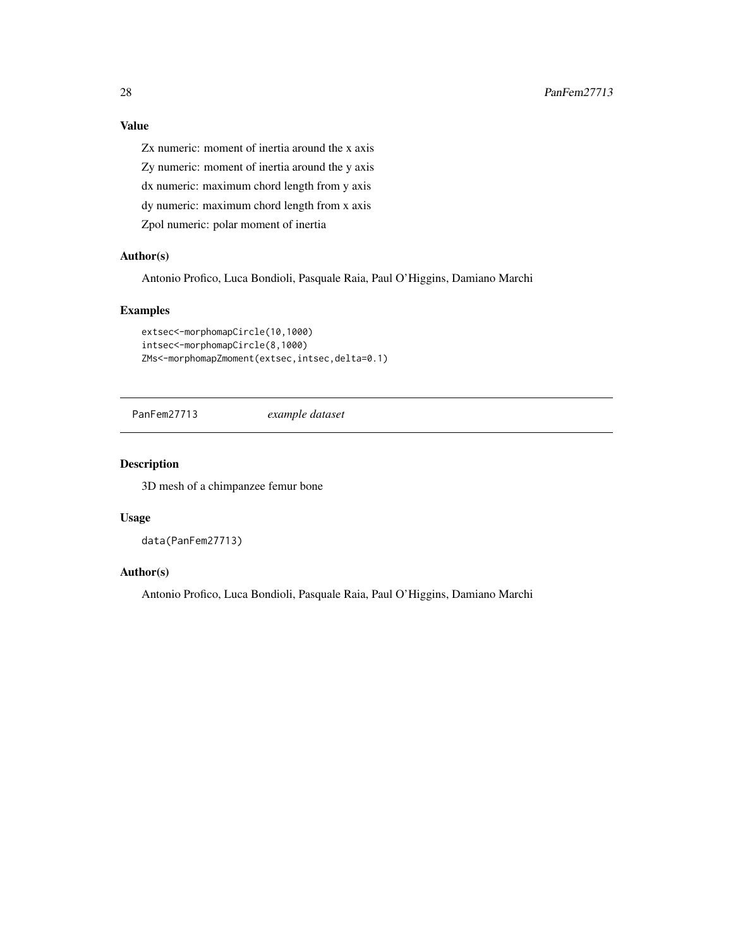<span id="page-27-0"></span>Zx numeric: moment of inertia around the x axis

Zy numeric: moment of inertia around the y axis

dx numeric: maximum chord length from y axis

dy numeric: maximum chord length from x axis

Zpol numeric: polar moment of inertia

# Author(s)

Antonio Profico, Luca Bondioli, Pasquale Raia, Paul O'Higgins, Damiano Marchi

# Examples

```
extsec<-morphomapCircle(10,1000)
intsec<-morphomapCircle(8,1000)
ZMs<-morphomapZmoment(extsec,intsec,delta=0.1)
```
PanFem27713 *example dataset*

#### Description

3D mesh of a chimpanzee femur bone

#### Usage

data(PanFem27713)

# Author(s)

Antonio Profico, Luca Bondioli, Pasquale Raia, Paul O'Higgins, Damiano Marchi